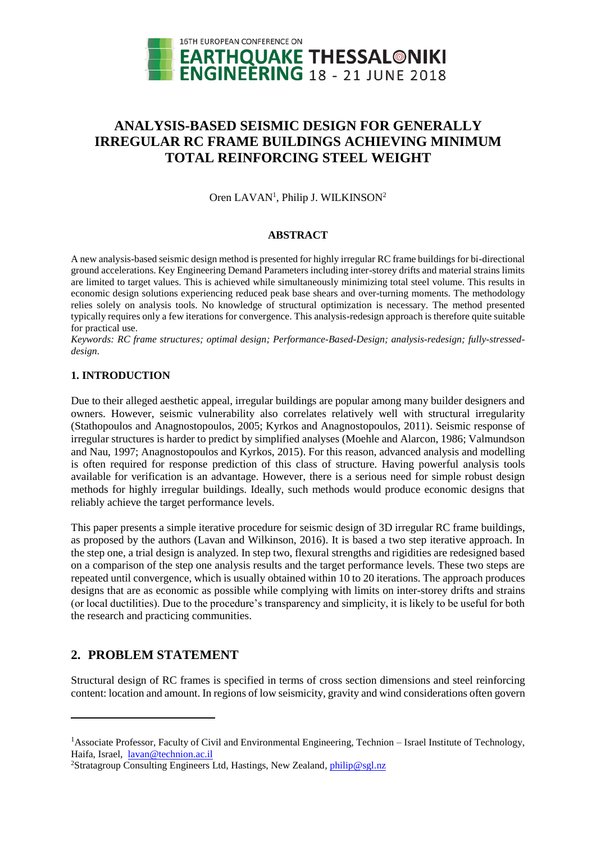

# **ANALYSIS-BASED SEISMIC DESIGN FOR GENERALLY IRREGULAR RC FRAME BUILDINGS ACHIEVING MINIMUM TOTAL REINFORCING STEEL WEIGHT**

Oren LAVAN<sup>1</sup>, Philip J. WILKINSON<sup>2</sup>

### **ABSTRACT**

A new analysis-based seismic design method is presented for highly irregular RC frame buildings for bi-directional ground accelerations. Key Engineering Demand Parameters including inter-storey drifts and material strains limits are limited to target values. This is achieved while simultaneously minimizing total steel volume. This results in economic design solutions experiencing reduced peak base shears and over-turning moments. The methodology relies solely on analysis tools. No knowledge of structural optimization is necessary. The method presented typically requires only a few iterations for convergence. This analysis-redesign approach is therefore quite suitable for practical use.

*Keywords: RC frame structures; optimal design; Performance-Based-Design; analysis-redesign; fully-stresseddesign.*

### **1. INTRODUCTION**

Due to their alleged aesthetic appeal, irregular buildings are popular among many builder designers and owners. However, seismic vulnerability also correlates relatively well with structural irregularity (Stathopoulos and Anagnostopoulos, 2005; Kyrkos and Anagnostopoulos, 2011). Seismic response of irregular structures is harder to predict by simplified analyses (Moehle and Alarcon, 1986; Valmundson and Nau, 1997; Anagnostopoulos and Kyrkos, 2015). For this reason, advanced analysis and modelling is often required for response prediction of this class of structure. Having powerful analysis tools available for verification is an advantage. However, there is a serious need for simple robust design methods for highly irregular buildings. Ideally, such methods would produce economic designs that reliably achieve the target performance levels.

This paper presents a simple iterative procedure for seismic design of 3D irregular RC frame buildings, as proposed by the authors (Lavan and Wilkinson, 2016). It is based a two step iterative approach. In the step one, a trial design is analyzed. In step two, flexural strengths and rigidities are redesigned based on a comparison of the step one analysis results and the target performance levels. These two steps are repeated until convergence, which is usually obtained within 10 to 20 iterations. The approach produces designs that are as economic as possible while complying with limits on inter-storey drifts and strains (or local ductilities). Due to the procedure's transparency and simplicity, it is likely to be useful for both the research and practicing communities.

### **2. PROBLEM STATEMENT**

l

Structural design of RC frames is specified in terms of cross section dimensions and steel reinforcing content: location and amount. In regions of low seismicity, gravity and wind considerations often govern

<sup>&</sup>lt;sup>1</sup>Associate Professor, Faculty of Civil and Environmental Engineering, Technion – Israel Institute of Technology, Haifa, Israel, [lavan@technion.ac.il](mailto:lavan@technion.ac.il) 

<sup>&</sup>lt;sup>2</sup>Stratagroup Consulting Engineers Ltd, Hastings, New Zealand[, philip@sgl.nz](mailto:philip@sgl.nz)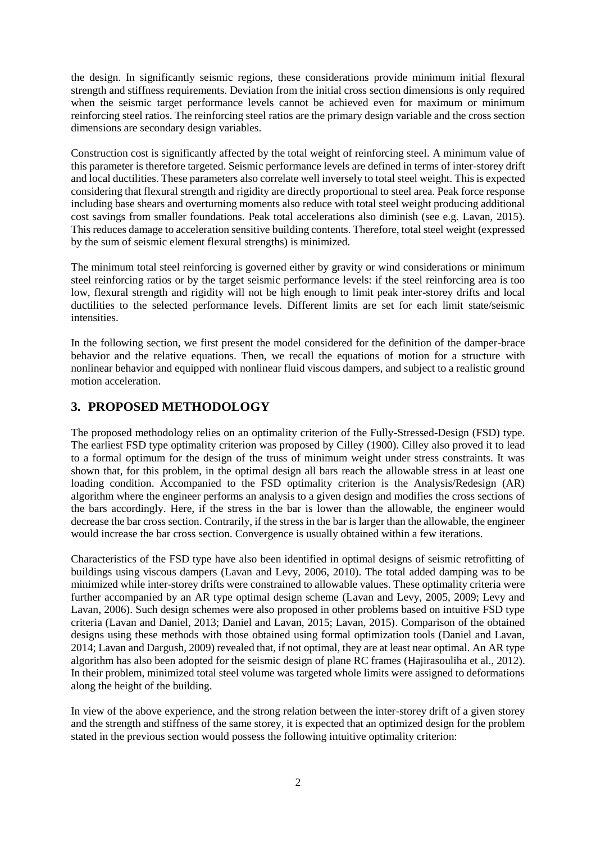the design. In significantly seismic regions, these considerations provide minimum initial flexural strength and stiffness requirements. Deviation from the initial cross section dimensions is only required when the seismic target performance levels cannot be achieved even for maximum or minimum reinforcing steel ratios. The reinforcing steel ratios are the primary design variable and the cross section dimensions are secondary design variables.

Construction cost is significantly affected by the total weight of reinforcing steel. A minimum value of this parameter is therefore targeted. Seismic performance levels are defined in terms of inter-storey drift and local ductilities. These parameters also correlate well inversely to total steel weight. This is expected considering that flexural strength and rigidity are directly proportional to steel area. Peak force response including base shears and overturning moments also reduce with total steel weight producing additional cost savings from smaller foundations. Peak total accelerations also diminish (see e.g. Lavan, 2015). This reduces damage to acceleration sensitive building contents. Therefore, total steel weight (expressed by the sum of seismic element flexural strengths) is minimized.

The minimum total steel reinforcing is governed either by gravity or wind considerations or minimum steel reinforcing ratios or by the target seismic performance levels: if the steel reinforcing area is too low, flexural strength and rigidity will not be high enough to limit peak inter-storey drifts and local ductilities to the selected performance levels. Different limits are set for each limit state/seismic intensities.

In the following section, we first present the model considered for the definition of the damper-brace behavior and the relative equations. Then, we recall the equations of motion for a structure with nonlinear behavior and equipped with nonlinear fluid viscous dampers, and subject to a realistic ground motion acceleration.

## **3. PROPOSED METHODOLOGY**

The proposed methodology relies on an optimality criterion of the Fully-Stressed-Design (FSD) type. The earliest FSD type optimality criterion was proposed by Cilley (1900). Cilley also proved it to lead to a formal optimum for the design of the truss of minimum weight under stress constraints. It was shown that, for this problem, in the optimal design all bars reach the allowable stress in at least one loading condition. Accompanied to the FSD optimality criterion is the Analysis/Redesign (AR) algorithm where the engineer performs an analysis to a given design and modifies the cross sections of the bars accordingly. Here, if the stress in the bar is lower than the allowable, the engineer would decrease the bar cross section. Contrarily, if the stress in the bar is larger than the allowable, the engineer would increase the bar cross section. Convergence is usually obtained within a few iterations.

Characteristics of the FSD type have also been identified in optimal designs of seismic retrofitting of buildings using viscous dampers (Lavan and Levy, 2006, 2010). The total added damping was to be minimized while inter-storey drifts were constrained to allowable values. These optimality criteria were further accompanied by an AR type optimal design scheme (Lavan and Levy, 2005, 2009; Levy and Lavan, 2006). Such design schemes were also proposed in other problems based on intuitive FSD type criteria (Lavan and Daniel, 2013; Daniel and Lavan, 2015; Lavan, 2015). Comparison of the obtained designs using these methods with those obtained using formal optimization tools (Daniel and Lavan, 2014; Lavan and Dargush, 2009) revealed that, if not optimal, they are at least near optimal. An AR type algorithm has also been adopted for the seismic design of plane RC frames (Hajirasouliha et al., 2012). In their problem, minimized total steel volume was targeted whole limits were assigned to deformations along the height of the building.

In view of the above experience, and the strong relation between the inter-storey drift of a given storey and the strength and stiffness of the same storey, it is expected that an optimized design for the problem stated in the previous section would possess the following intuitive optimality criterion: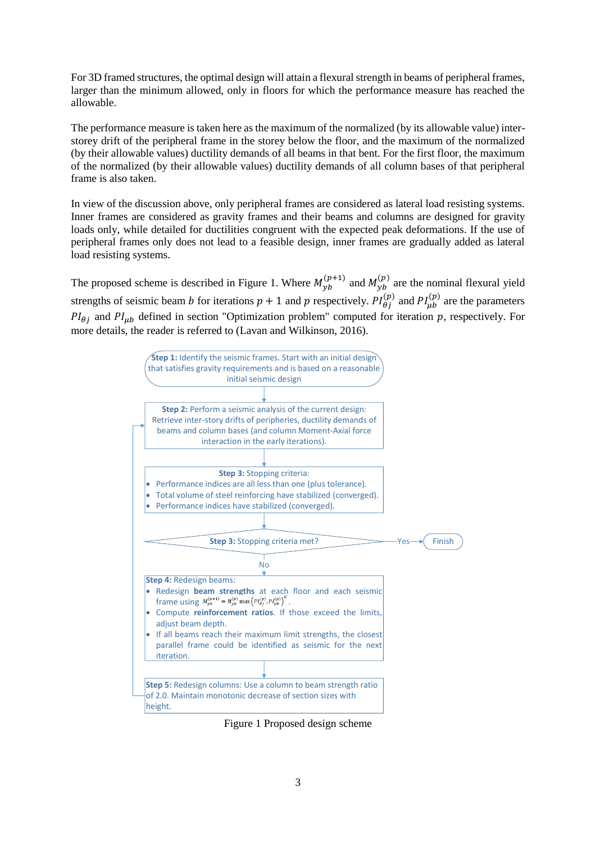For 3D framed structures, the optimal design will attain a flexural strength in beams of peripheral frames, larger than the minimum allowed, only in floors for which the performance measure has reached the allowable.

The performance measure is taken here as the maximum of the normalized (by its allowable value) interstorey drift of the peripheral frame in the storey below the floor, and the maximum of the normalized (by their allowable values) ductility demands of all beams in that bent. For the first floor, the maximum of the normalized (by their allowable values) ductility demands of all column bases of that peripheral frame is also taken.

In view of the discussion above, only peripheral frames are considered as lateral load resisting systems. Inner frames are considered as gravity frames and their beams and columns are designed for gravity loads only, while detailed for ductilities congruent with the expected peak deformations. If the use of peripheral frames only does not lead to a feasible design, inner frames are gradually added as lateral load resisting systems.

The proposed scheme is described in Figure 1. Where  $M_{yb}^{(p+1)}$  and  $M_{yb}^{(p)}$  are the nominal flexural yield strengths of seismic beam *b* for iterations  $p + 1$  and  $p$  respectively.  $PI_{\theta j}^{(p)}$  and  $PI_{\mu b}^{(p)}$  are the parameters  $PI_{\theta i}$  and  $PI_{\mu b}$  defined in section "Optimization problem" computed for iteration p, respectively. For more details, the reader is referred to (Lavan and Wilkinson, 2016).



Figure 1 Proposed design scheme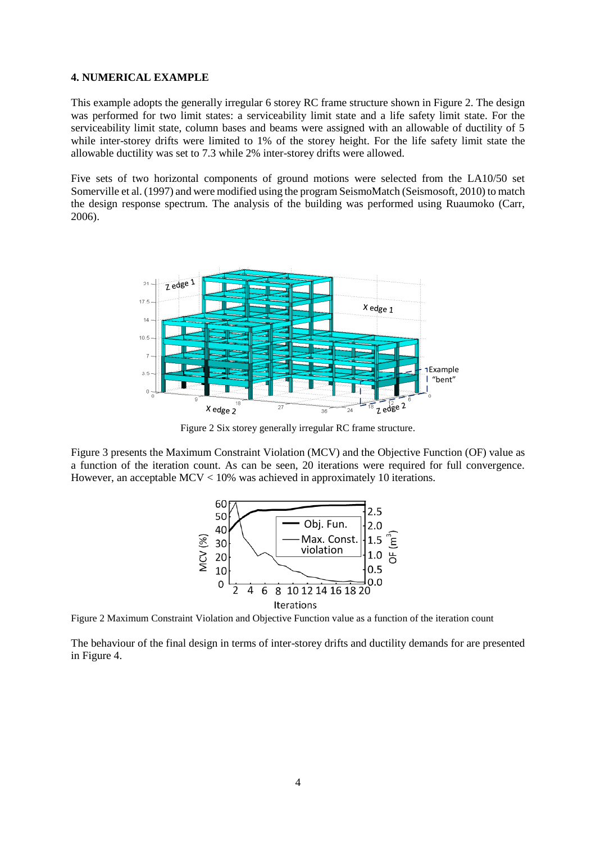#### **4. NUMERICAL EXAMPLE**

This example adopts the generally irregular 6 storey RC frame structure shown in Figure 2. The design was performed for two limit states: a serviceability limit state and a life safety limit state. For the serviceability limit state, column bases and beams were assigned with an allowable of ductility of 5 while inter-storey drifts were limited to 1% of the storey height. For the life safety limit state the allowable ductility was set to 7.3 while 2% inter-storey drifts were allowed.

Five sets of two horizontal components of ground motions were selected from the LA10/50 set Somerville et al. (1997) and were modified using the program SeismoMatch (Seismosoft, 2010) to match the design response spectrum. The analysis of the building was performed using Ruaumoko (Carr, 2006).



Figure 2 Six storey generally irregular RC frame structure.

Figure 3 presents the Maximum Constraint Violation (MCV) and the Objective Function (OF) value as a function of the iteration count. As can be seen, 20 iterations were required for full convergence. However, an acceptable MCV < 10% was achieved in approximately 10 iterations.



Figure 2 Maximum Constraint Violation and Objective Function value as a function of the iteration count

The behaviour of the final design in terms of inter-storey drifts and ductility demands for are presented in Figure 4.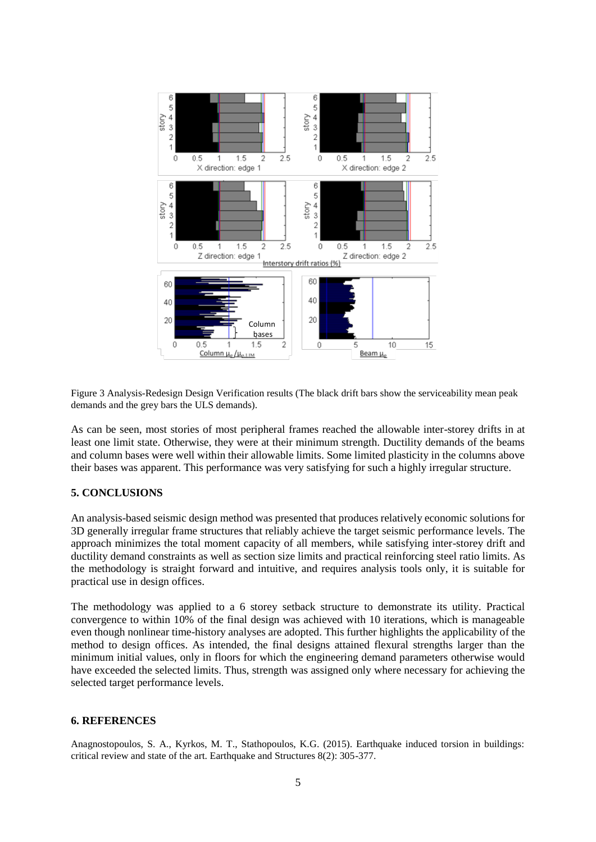

Figure 3 Analysis-Redesign Design Verification results (The black drift bars show the serviceability mean peak demands and the grey bars the ULS demands).

As can be seen, most stories of most peripheral frames reached the allowable inter-storey drifts in at least one limit state. Otherwise, they were at their minimum strength. Ductility demands of the beams and column bases were well within their allowable limits. Some limited plasticity in the columns above their bases was apparent. This performance was very satisfying for such a highly irregular structure.

### **5. CONCLUSIONS**

An analysis-based seismic design method was presented that produces relatively economic solutions for 3D generally irregular frame structures that reliably achieve the target seismic performance levels. The approach minimizes the total moment capacity of all members, while satisfying inter-storey drift and ductility demand constraints as well as section size limits and practical reinforcing steel ratio limits. As the methodology is straight forward and intuitive, and requires analysis tools only, it is suitable for practical use in design offices.

The methodology was applied to a 6 storey setback structure to demonstrate its utility. Practical convergence to within 10% of the final design was achieved with 10 iterations, which is manageable even though nonlinear time-history analyses are adopted. This further highlights the applicability of the method to design offices. As intended, the final designs attained flexural strengths larger than the minimum initial values, only in floors for which the engineering demand parameters otherwise would have exceeded the selected limits. Thus, strength was assigned only where necessary for achieving the selected target performance levels.

#### **6. REFERENCES**

Anagnostopoulos, S. A., Kyrkos, M. T., Stathopoulos, K.G. (2015). Earthquake induced torsion in buildings: critical review and state of the art. Earthquake and Structures 8(2): 305-377.